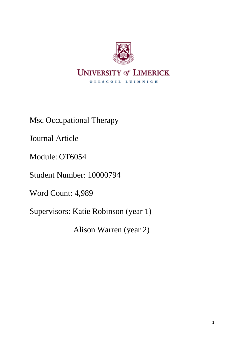

Msc Occupational Therapy

Journal Article

Module: OT6054

Student Number: 10000794

Word Count: 4,989

Supervisors: Katie Robinson (year 1)

Alison Warren (year 2)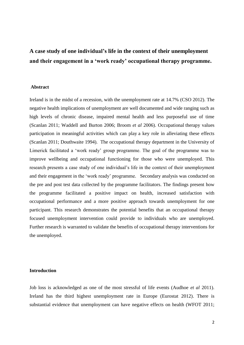# **A case study of one individual's life in the context of their unemployment and their engagement in a 'work ready' occupational therapy programme.**

## **Abstract**

Ireland is in the midst of a recession, with the unemployment rate at 14.7% (CSO 2012). The negative health implications of unemployment are well documented and wide ranging such as high levels of chronic disease, impaired mental health and less purposeful use of time (Scanlan 2011; Waddell and Burton 2006; Broom *et al* 2006). Occupational therapy values participation in meaningful activities which can play a key role in alleviating these effects (Scanlan 2011; Douthwaite 1994). The occupational therapy department in the University of Limerick facilitated a 'work ready' group programme. The goal of the programme was to improve wellbeing and occupational functioning for those who were unemployed. This research presents a case study of one individual's life in the context of their unemployment and their engagement in the 'work ready' programme. Secondary analysis was conducted on the pre and post test data collected by the programme facilitators. The findings present how the programme facilitated a positive impact on health, increased satisfaction with occupational performance and a more positive approach towards unemployment for one participant. This research demonstrates the potential benefits that an occupational therapy focused unemployment intervention could provide to individuals who are unemployed. Further research is warranted to validate the benefits of occupational therapy interventions for the unemployed.

## **Introduction**

Job loss is acknowledged as one of the most stressful of life events (Audhoe *et al* 2011). Ireland has the third highest unemployment rate in Europe (Eurostat 2012). There is substantial evidence that unemployment can have negative effects on health (WFOT 2011;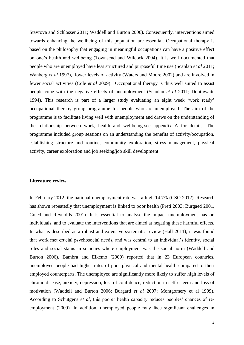Stavrova and Schlosser 2011; Waddell and Burton 2006). Consequently, interventions aimed towards enhancing the wellbeing of this population are essential. Occupational therapy is based on the philosophy that engaging in meaningful occupations can have a positive effect on one's health and wellbeing (Townsend and Wilcock 2004). It is well documented that people who are unemployed have less structured and purposeful time use (Scanlan *et al* 2011; Wanberg *et al* 1997), lower levels of activity (Waters and Moore 2002) and are involved in fewer social activities (Cole *et al* 2009). Occupational therapy is thus well suited to assist people cope with the negative effects of unemployment (Scanlan *et al* 2011; Douthwaite 1994). This research is part of a larger study evaluating an eight week 'work ready' occupational therapy group programme for people who are unemployed. The aim of the programme is to facilitate living well with unemployment and draws on the understanding of the relationship between work, health and wellbeing-see appendix A for details. The programme included group sessions on an understanding the benefits of activity/occupation, establishing structure and routine, community exploration, stress management, physical activity, career exploration and job seeking/job skill development.

#### **Literature review**

In February 2012, the national unemployment rate was a high 14.7% (CSO 2012). Research has shown repeatedly that unemployment is linked to poor health (Preti 2003; Burgaed 2001, Creed and Reynolds 2001). It is essential to analyse the impact unemployment has on individuals, and to evaluate the interventions that are aimed at negating these harmful effects. In what is described as a robust and extensive systematic review (Hall 2011), it was found that work met crucial psychosocial needs, and was central to an individual's identity, social roles and social status in societies where employment was the social norm (Waddell and Burton 2006). Bambra and Eikemo (2009) reported that in 23 European countries, unemployed people had higher rates of poor physical and mental health compared to their employed counterparts. The unemployed are significantly more likely to suffer high levels of chronic disease, anxiety, depression, loss of confidence, reduction in self-esteem and loss of motivation (Waddell and Burton 2006; Burgard *et al* 2007; Montgomery et al 1999). According to Schutgens *et al*, this poorer health capacity reduces peoples' chances of reemployment (2009). In addition, unemployed people may face significant challenges in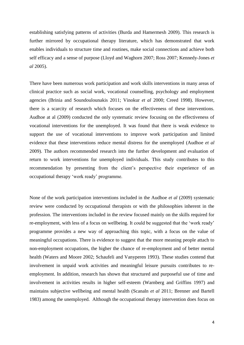establishing satisfying patterns of activities (Burda and Hamermesh 2009). This research is further mirrored by occupational therapy literature, which has demonstrated that work enables individuals to structure time and routines, make social connections and achieve both self efficacy and a sense of purpose (Lloyd and Waghorn 2007; Ross 2007; Kennedy-Jones *et al* 2005).

There have been numerous work participation and work skills interventions in many areas of clinical practice such as social work, vocational counselling, psychology and employment agencies (Brinia and [Soundoulounakis](javascript:__doLinkPostBack() 2011; Vinokur *et al* 2000; Creed 1998). However, there is a scarcity of research which focuses on the effectiveness of these interventions. Audhoe at al (2009) conducted the only systematic review focusing on the effectiveness of vocational interventions for the unemployed. It was found that there is weak evidence to support the use of vocational interventions to improve work participation and limited evidence that these interventions reduce mental distress for the unemployed (Audhoe *et al* 2009). The authors recommended research into the further development and evaluation of return to work interventions for unemployed individuals. This study contributes to this recommendation by presenting from the client's perspective their experience of an occupational therapy 'work ready' programme.

None of the work participation interventions included in the Audhoe *et al* (2009) systematic review were conducted by occupational therapists or with the philosophies inherent in the profession. The interventions included in the review focused mainly on the skills required for re-employment, with less of a focus on wellbeing. It could be suggested that the 'work ready' programme provides a new way of approaching this topic, with a focus on the value of meaningful occupations. There is evidence to suggest that the more meaning people attach to non-employment occupations, the higher the chance of re-employment and of better mental health (Waters and Moore 2002; Schaufeli and Vanyperen 1993). These studies contend that involvement in unpaid work activities and meaningful leisure pursuits contributes to reemployment. In addition, research has shown that structured and purposeful use of time and involvement in activities results in higher self-esteem (Warnberg and Griffins 1997) and maintains subjective wellbeing and mental health (Scanaln *et al* 2011; Brenner and Bartell 1983) among the unemployed. Although the occupational therapy intervention does focus on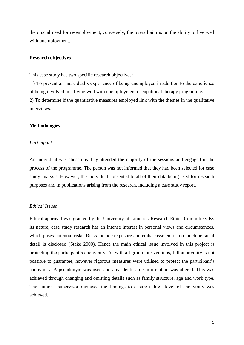the crucial need for re-employment, conversely, the overall aim is on the ability to live well with unemployment.

## **Research objectives**

This case study has two specific research objectives:

1) To present an individual's experience of being unemployed in addition to the experience of being involved in a living well with unemployment occupational therapy programme. 2) To determine if the quantitative measures employed link with the themes in the qualitative interviews.

### **Methodologies**

#### *Participant*

An individual was chosen as they attended the majority of the sessions and engaged in the process of the programme. The person was not informed that they had been selected for case study analysis. However, the individual consented to all of their data being used for research purposes and in publications arising from the research, including a case study report.

#### *Ethical Issues*

Ethical approval was granted by the University of Limerick Research Ethics Committee. By its nature, case study research has an intense interest in personal views and circumstances, which poses potential risks. Risks include exposure and embarrassment if too much personal detail is disclosed (Stake 2000). Hence the main ethical issue involved in this project is protecting the participant's anonymity. As with all group interventions, full anonymity is not possible to guarantee, however rigorous measures were utilised to protect the participant's anonymity. A pseudonym was used and any identifiable information was altered. This was achieved through changing and omitting details such as family structure, age and work type. The author's supervisor reviewed the findings to ensure a high level of anonymity was achieved.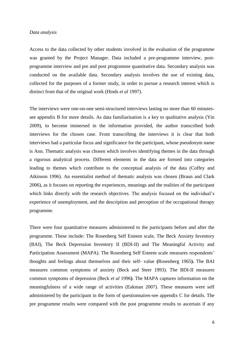#### *Data analysis*

Access to the data collected by other students involved in the evaluation of the programme was granted by the Project Manager. Data included a pre-programme interview, postprogramme interview and pre and post programme quantitative data. Secondary analysis was conducted on the available data. Secondary analysis involves the use of existing data, collected for the purposes of a former study, in order to pursue a research interest which is distinct from that of the original work (Hinds *et al* 1997).

The interviews were one-on-one semi-structured interviews lasting no more than 60 minutessee appendix B for more details. As data familiarisation is a key to qualitative analysis (Yin 2009), to become immersed in the information provided, the author transcribed both interviews for the chosen case. From transcribing the interviews it is clear that both interviews had a particular focus and significance for the participant, whose pseudonym name is Ann. Thematic analysis was chosen which involves identifying themes in the data through a rigorous analytical process. Different elements in the data are formed into categories leading to themes which contribute to the conceptual analysis of the data (Coffey and Atkinson 1996). An essentialist method of thematic analysis was chosen (Braun and Clark 2006), as it focuses on reporting the experiences, meanings and the realities of the participant which links directly with the research objectives. The analysis focused on the individual's experience of unemployment, and the description and perception of the occupational therapy programme.

There were four quantitative measures administered to the participants before and after the programme. These include: The Rosenberg Self Esteem scale, The Beck Anxiety Inventory (BAI), The Beck Depression Inventory II (BDI-II) and The Meaningful Activity and Participation Assessment (MAPA). The Rosenberg Self Esteem scale measures respondents' thoughts and feelings about themselves and their self- value **(**Rosenberg 1965**).** The BAI measures common symptoms of anxiety (Beck and Steer 1993). The BDI-II measures common symptoms of depression (Beck *et al* 1996**)**. The MAPA captures information on the meaningfulness of a wide range of activities (Eakman 2007). These measures were self administered by the participant in the form of questionnaires-see appendix C for details. The pre programme results were compared with the post programme results to ascertain if any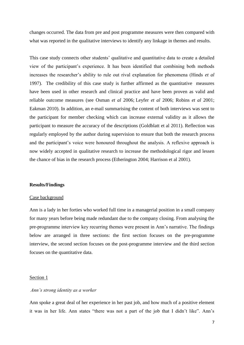changes occurred. The data from pre and post programme measures were then compared with what was reported in the qualitative interviews to identify any linkage in themes and results.

This case study connects other students' qualitative and quantitative data to create a detailed view of the participant's experience. It has been identified that combining both methods increases the researcher's ability to rule out rival explanation for phenomena (Hinds *et al* 1997). The credibility of this case study is further affirmed as the quantitative measures have been used in other research and clinical practice and have been proven as valid and reliable outcome measures (see Osman *et al* 2006; Leyfer *et al* 2006; Robins *et al* 2001; Eakman 2010). In addition, an e-mail summarising the content of both interviews was sent to the participant for member checking which can increase external validity as it allows the participant to measure the accuracy of the descriptions (Goldblatt et al 2011). Reflection was regularly employed by the author during supervision to ensure that both the research process and the participant's voice were honoured throughout the analysis. A reflexive approach is now widely accepted in qualitative research to increase the methodological rigor and lessen the chance of bias in the research process (Etherington 2004; Harrison et al 2001).

#### **Results/Findings**

#### Case background

Ann is a lady in her forties who worked full time in a managerial position in a small company for many years before being made redundant due to the company closing. From analysing the pre-programme interview key recurring themes were present in Ann's narrative. The findings below are arranged in three sections: the first section focuses on the pre-programme interview, the second section focuses on the post-programme interview and the third section focuses on the quantitative data.

#### Section 1

#### *Ann's strong identity as a worker*

Ann spoke a great deal of her experience in her past job, and how much of a positive element it was in her life. Ann states "there was not a part of the job that I didn't like". Ann's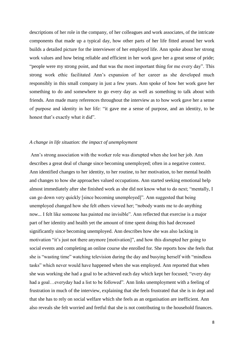descriptions of her role in the company, of her colleagues and work associates, of the intricate components that made up a typical day, how other parts of her life fitted around her work builds a detailed picture for the interviewer of her employed life. Ann spoke about her strong work values and how being reliable and efficient in her work gave her a great sense of pride; "people were my strong point, and that was the most important thing for me every day". This strong work ethic facilitated Ann's expansion of her career as she developed much responsibly in this small company in just a few years. Ann spoke of how her work gave her something to do and somewhere to go every day as well as something to talk about with friends. Ann made many references throughout the interview as to how work gave her a sense of purpose and identity in her life: "it gave me a sense of purpose, and an identity, to be honest that's exactly what it did".

## *A change in life situation: the impact of unemployment*

Ann's strong association with the worker role was disrupted when she lost her job. Ann describes a great deal of change since becoming unemployed; often in a negative context. Ann identified changes to her identity, to her routine, to her motivation, to her mental health and changes to how she approaches valued occupations. Ann started seeking emotional help almost immediately after she finished work as she did not know what to do next; "mentally, I can go down very quickly [since becoming unemployed]". Ann suggested that being unemployed changed how she felt others viewed her; "nobody wants me to do anything now*...* I felt like someone has painted me invisible". Ann reflected that exercise is a major part of her identity and health yet the amount of time spent doing this had decreased significantly since becoming unemployed. Ann describes how she was also lacking in motivation "it's just not there anymore [motivation]", and how this disrupted her going to social events and completing an online course she enrolled for. She reports how she feels that she is "wasting time" watching television during the day and busying herself with "mindless tasks" which never would have happened when she was employed. Ann reported that when she was working she had a goal to be achieved each day which kept her focused; "every day had a goal...everyday had a list to be followed". Ann links unemployment with a feeling of frustration in much of the interview, explaining that she feels frustrated that she is in dept and that she has to rely on social welfare which she feels as an organisation are inefficient. Ann also reveals she felt worried and fretful that she is not contributing to the household finances.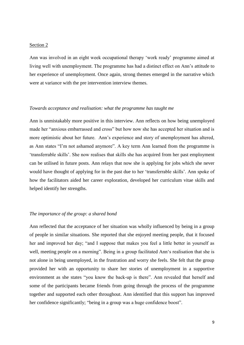#### Section 2

Ann was involved in an eight week occupational therapy 'work ready' programme aimed at living well with unemployment. The programme has had a distinct effect on Ann's attitude to her experience of unemployment. Once again, strong themes emerged in the narrative which were at variance with the pre intervention interview themes.

#### *Towards acceptance and realisation: what the programme has taught me*

Ann is unmistakably more positive in this interview. Ann reflects on how being unemployed made her "anxious embarrassed and cross" but how now she has accepted her situation and is more optimistic about her future. Ann's experience and story of unemployment has altered, as Ann states "I'm not ashamed anymore". A key term Ann learned from the programme is 'transferrable skills'. She now realises that skills she has acquired from her past employment can be utilised in future posts. Ann relays that now she is applying for jobs which she never would have thought of applying for in the past due to her 'transferrable skills'. Ann spoke of how the facilitators aided her career exploration, developed her curriculum vitae skills and helped identify her strengths.

### *The importance of the group: a shared bond*

Ann reflected that the acceptance of her situation was wholly influenced by being in a group of people in similar situations. She reported that she enjoyed meeting people, that it focused her and improved her day; "and I suppose that makes you feel a little better in yourself as well, meeting people on a morning". Being in a group facilitated Ann's realisation that she is not alone in being unemployed, in the frustration and worry she feels. She felt that the group provided her with an opportunity to share her stories of unemployment in a supportive environment as she states "you know the back-up is there". Ann revealed that herself and some of the participants became friends from going through the process of the programme together and supported each other throughout. Ann identified that this support has improved her confidence significantly; "being in a group was a huge confidence boost".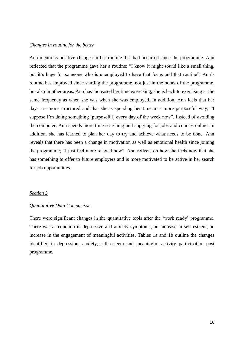## *Changes in routine for the better*

Ann mentions positive changes in her routine that had occurred since the programme. Ann reflected that the programme gave her a routine; "I know it might sound like a small thing, but it's huge for someone who is unemployed to have that focus and that routine". Ann's routine has improved since starting the programme, not just in the hours of the programme, but also in other areas. Ann has increased her time exercising; she is back to exercising at the same frequency as when she was when she was employed. In addition, Ann feels that her days are more structured and that she is spending her time in a more purposeful way; "I suppose I'm doing something [purposeful] every day of the week now". Instead of avoiding the computer, Ann spends more time searching and applying for jobs and courses online. In addition, she has learned to plan her day to try and achieve what needs to be done. Ann reveals that there has been a change in motivation as well as emotional health since joining the programme; "I just feel more relaxed now". Ann reflects on how she feels now that she has something to offer to future employers and is more motivated to be active in her search for job opportunities.

#### *Section 3*

### *Quantitative Data Comparison*

There were significant changes in the quantitative tools after the 'work ready' programme. There was a reduction in depressive and anxiety symptoms, an increase in self esteem, an increase in the engagement of meaningful activities. Tables 1a and 1b outline the changes identified in depression, anxiety, self esteem and meaningful activity participation post programme.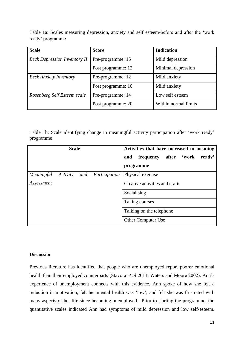Table 1a: Scales measuring depression, anxiety and self esteem-before and after the 'work ready' programme

| <b>Scale</b>                        | <b>Score</b>       | <b>Indication</b>    |
|-------------------------------------|--------------------|----------------------|
| <b>Beck Depression Inventory II</b> | Pre-programme: 15  | Mild depression      |
|                                     | Post programme: 12 | Minimal depression   |
| <b>Beck Anxiety Inventory</b>       | Pre-programme: 12  | Mild anxiety         |
|                                     | Post programme: 10 | Mild anxiety         |
| Rosenberg Self Esteem scale         | Pre-programme: 14  | Low self esteem      |
|                                     | Post programme: 20 | Within normal limits |

Table 1b: Scale identifying change in meaningful activity participation after 'work ready' programme

| <b>Scale</b> |          |     | Activities that have increased in meaning |             |                                |  |             |        |
|--------------|----------|-----|-------------------------------------------|-------------|--------------------------------|--|-------------|--------|
|              |          |     |                                           | and         | frequency                      |  | after 'work | ready' |
|              |          |     |                                           | programme   |                                |  |             |        |
| Meaningful   | Activity | and | Participation                             |             | Physical exercise              |  |             |        |
| Assessment   |          |     |                                           |             | Creative activities and crafts |  |             |        |
|              |          |     |                                           | Socialising |                                |  |             |        |
|              |          |     |                                           |             | Taking courses                 |  |             |        |
|              |          |     |                                           |             | Talking on the telephone       |  |             |        |
|              |          |     |                                           |             | <b>Other Computer Use</b>      |  |             |        |

## **Discussion**

Previous literature has identified that people who are unemployed report poorer emotional health than their employed counterparts (Stavora *et al* 2011; Waters and Moore 2002). Ann's experience of unemployment connects with this evidence. Ann spoke of how she felt a reduction in motivation, felt her mental health was 'low', and felt she was frustrated with many aspects of her life since becoming unemployed. Prior to starting the programme, the quantitative scales indicated Ann had symptoms of mild depression and low self-esteem.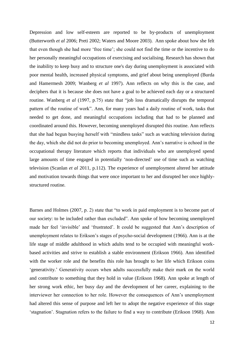Depression and low self-esteem are reported to be by-products of unemployment (Butterworth *et al* 2006; Preti 2002; Waters and Moore 2003). Ann spoke about how she felt that even though she had more 'free time'; she could not find the time or the incentive to do her personally meaningful occupations of exercising and socialising. Research has shown that the inability to keep busy and to structure one's day during unemployment is associated with poor mental health, increased physical symptoms, and grief about being unemployed (Burda and Hamermesh 2009; Wanberg *et al* 1997). Ann reflects on why this is the case, and deciphers that it is because she does not have a goal to be achieved each day or a structured routine. Wanberg *et al* (1997, p.75) state that "job loss dramatically disrupts the temporal pattern of the routine of work". Ann, for many years had a daily routine of work, tasks that needed to get done, and meaningful occupations including that had to be planned and coordinated around this. However, becoming unemployed disrupted this routine. Ann reflects that she had begun busying herself with "mindless tasks" such as watching television during the day, which she did not do prior to becoming unemployed. Ann's narrative is echoed in the occupational therapy literature which reports that individuals who are unemployed spend large amounts of time engaged in potentially 'non-directed' use of time such as watching television (Scanlan *et al* 2011, p.112). The experience of unemployment altered her attitude and motivation towards things that were once important to her and disrupted her once highlystructured routine.

Barnes and Holmes (2007, p. 2) state that "to work in paid employment is to become part of our society: to be included rather than excluded". Ann spoke of how becoming unemployed made her feel 'invisible' and 'frustrated'. It could be suggested that Ann's description of unemployment relates to Erikson's stages of psycho-social development (1966). Ann is at the life stage of middle adulthood in which adults tend to be occupied with meaningful workbased activities and strive to establish a stable environment (Erikson 1966). Ann identified with the worker role and the benefits this role has brought to her life which Erikson coins 'generativity.' Generativity occurs when adults successfully make their mark on the world and contribute to something that they hold in value (Erikson 1968). Ann spoke at length of her strong work ethic, her busy day and the development of her career, explaining to the interviewer her connection to her role. However the consequences of Ann's unemployment had altered this sense of purpose and left her to adopt the negative experience of this stage 'stagnation'. Stagnation refers to the failure to find a way to contribute (Erikson 1968). Ann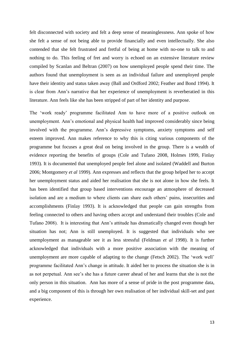felt disconnected with society and felt a deep sense of meaninglessness. Ann spoke of how she felt a sense of not being able to provide financially and even intellectually. She also contended that she felt frustrated and fretful of being at home with no-one to talk to and nothing to do. This feeling of fret and worry is echoed on an extensive literature review compiled by Scanlan and Beltran (2007) on how unemployed people spend their time. The authors found that unemployment is seen as an individual failure and unemployed people have their identity and status taken away (Ball and Ordford 2002; Feather and Bond 1994). It is clear from Ann's narrative that her experience of unemployment is reverberatied in this literature. Ann feels like she has been stripped of part of her identity and purpose.

The 'work ready' programme facilitated Ann to have more of a positive outlook on unemployment. Ann's emotional and physical health had improved considerably since being involved with the programme. Ann's depressive symptoms, anxiety symptoms and self esteem improved. Ann makes reference to why this is citing various components of the programme but focuses a great deal on being involved in the group. There is a wealth of evidence reporting the benefits of groups (Cole and Tufano 2008, Holmes 1999, Finlay 1993). It is documented that unemployed people feel alone and isolated (Waddell and Burton 2006; Montgomery *et al* 1999). Ann expresses and reflects that the group helped her to accept her unemployment status and aided her realisation that she is not alone in how she feels. It has been identified that group based interventions encourage an atmosphere of decreased isolation and are a medium to where clients can share each others' pains, insecurities and accomplishments (Finlay 1993). It is acknowledged that people can gain strengths from feeling connected to others and having others accept and understand their troubles (Cole and Tufano 2008). It is interesting that Ann's attitude has dramatically changed even though her situation has not; Ann is still unemployed. It is suggested that individuals who see unemployment as manageable see it as less stressful (Feldman *et al* 1998). It is further acknowledged that individuals with a more positive association with the meaning of unemployment are more capable of adapting to the change (Fetsch 2002). The 'work well' programme facilitated Ann's change in attitude. It aided her to process the situation she is in as not perpetual. Ann see's she has a future career ahead of her and learns that she is not the only person in this situation. Ann has more of a sense of pride in the post programme data, and a big component of this is through her own realisation of her individual skill-set and past experience.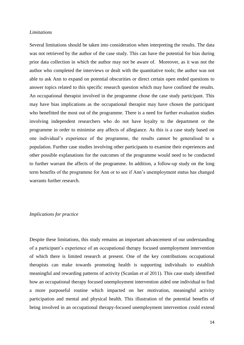#### *Limitations*

Several limitations should be taken into consideration when interpreting the results. The data was not retrieved by the author of the case study. This can have the potential for bias during prior data collection in which the author may not be aware of. Moreover, as it was not the author who completed the interviews or dealt with the quantitative tools; the author was not able to ask Ann to expand on potential obscurities or direct certain open ended questions to answer topics related to this specific research question which may have confined the results. An occupational therapist involved in the programme chose the case study participant. This may have bias implications as the occupational therapist may have chosen the participant who benefitted the most out of the programme. There is a need for further evaluation studies involving independent researchers who do not have loyalty to the department or the programme in order to minimise any affects of allegiance. As this is a case study based on one individual's experience of the programme, the results cannot be generalised to a population. Further case studies involving other participants to examine their experiences and other possible explanations for the outcomes of the programme would need to be conducted to further warrant the affects of the programme. In addition, a follow-up study on the long term benefits of the programme for Ann or to see if Ann's unemployment status has changed warrants further research.

#### *Implications for practice*

Despite these limitations, this study remains an important advancement of our understanding of a participant's experience of an occupational therapy focused unemployment intervention of which there is limited research at present. One of the key contributions occupational therapists can make towards promoting health is supporting individuals to establish meaningful and rewarding patterns of activity (Scanlan *et al* 2011). This case study identified how an occupational therapy focused unemployment intervention aided one individual to find a more purposeful routine which impacted on her motivation, meaningful activity participation and mental and physical health. This illustration of the potential benefits of being involved in an occupational therapy-focused unemployment intervention could extend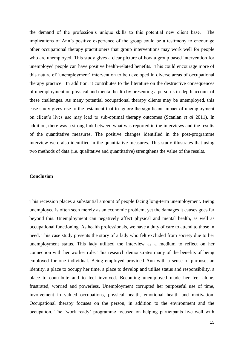the demand of the profession's unique skills to this potential new client base. The implications of Ann's positive experience of the group could be a testimony to encourage other occupational therapy practitioners that group interventions may work well for people who are unemployed. This study gives a clear picture of how a group based intervention for unemployed people can have positive health-related benefits. This could encourage more of this nature of 'unemployment' intervention to be developed in diverse areas of occupational therapy practice. In addition, it contributes to the literature on the destructive consequences of unemployment on physical and mental health by presenting a person's in-depth account of these challenges. As many potential occupational therapy clients may be unemployed, this case study gives rise to the testament that to ignore the significant impact of unemployment on client's lives use may lead to sub-optimal therapy outcomes (Scanlan *et al* 2011). In addition, there was a strong link between what was reported in the interviews and the results of the quantitative measures. The positive changes identified in the post-programme interview were also identified in the quantitative measures. This study illustrates that using two methods of data (i.e. qualitative and quantitative) strengthens the value of the results.

#### **Conclusion**

This recession places a substantial amount of people facing long-term unemployment. Being unemployed is often seen merely as an economic problem, yet the damages it causes goes far beyond this. Unemployment can negatively affect physical and mental health, as well as occupational functioning. As health professionals, we have a duty of care to attend to those in need. This case study presents the story of a lady who felt excluded from society due to her unemployment status. This lady utilised the interview as a medium to reflect on her connection with her worker role. This research demonstrates many of the benefits of being employed for one individual. Being employed provided Ann with a sense of purpose, an identity, a place to occupy her time, a place to develop and utilise status and responsibility, a place to contribute and to feel involved. Becoming unemployed made her feel alone, frustrated, worried and powerless. Unemployment corrupted her purposeful use of time, involvement in valued occupations, physical health, emotional health and motivation. Occupational therapy focuses on the person, in addition to the environment and the occupation. The 'work ready' programme focused on helping participants live well with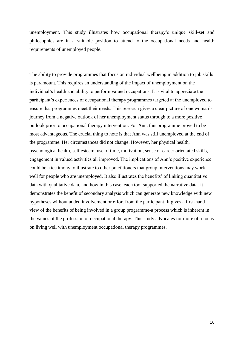unemployment. This study illustrates how occupational therapy's unique skill-set and philosophies are in a suitable position to attend to the occupational needs and health requirements of unemployed people.

The ability to provide programmes that focus on individual wellbeing in addition to job skills is paramount. This requires an understanding of the impact of unemployment on the individual's health and ability to perform valued occupations. It is vital to appreciate the participant's experiences of occupational therapy programmes targeted at the unemployed to ensure that programmes meet their needs. This research gives a clear picture of one woman's journey from a negative outlook of her unemployment status through to a more positive outlook prior to occupational therapy intervention. For Ann, this programme proved to be most advantageous. The crucial thing to note is that Ann was still unemployed at the end of the programme. Her circumstances did not change. However, her physical health, psychological health, self esteem, use of time, motivation, sense of career orientated skills, engagement in valued activities all improved. The implications of Ann's positive experience could be a testimony to illustrate to other practitioners that group interventions may work well for people who are unemployed. It also illustrates the benefits' of linking quantitative data with qualitative data, and how in this case, each tool supported the narrative data. It demonstrates the benefit of secondary analysis which can generate new knowledge with new hypotheses without added involvement or effort from the participant. It gives a first-hand view of the benefits of being involved in a group programme-a process which is inherent in the values of the profession of occupational therapy. This study advocates for more of a focus on living well with unemployment occupational therapy programmes.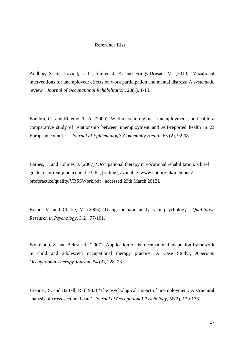#### **Reference List**

Audhoe, S. S., Hoving, J. L., Sluiter, J. K. and Frings-Dresen, M. (2010) 'Vocational interventions for unemployed: effects on work participation and mental distress: A systematic review*'*, *Journal of Occupational Rehabilitation*, 20(1), 1-13.

Bambra, C., and Eikemo, T. A. (2009) 'Welfare state regimes, unemployment and health: a comparative study of relationship between unemployment and self-reported health in 23 European countries*'*, *Journal of Epidemiologic Community Health,* 63 (2), 92-98.

Barnes, T. and Holmes, J. (2007) 'Occupational therapy in vocational rehabilitation: a brief guide to current practice in the UK', [online], available: [www.cot.org.uk/members/](http://www.cot.org.uk/members/) profpractice/quality/VRSSWork.pdf [accessed 29th March 2012].

Braun, V. and Clarke, V. (2006) 'Using thematic analysis in psychology'*, Qualitative Research in Psychology,* 3(2), 77-101.

Bouteloup, Z. and Beltran R. (2007) 'Application of the occupational adaptation framework in child and adolescent occupational therapy practice; A Case Study'*, American Occupational Therapy Journal*, 54 (3), 228–23.

Brenner, S. and Bartell, R. (1983) 'The psychological impact of unemployment: A structural analysis of cross-sectional data', *Journal of Occupational Psychology*, 56(2), 129-136.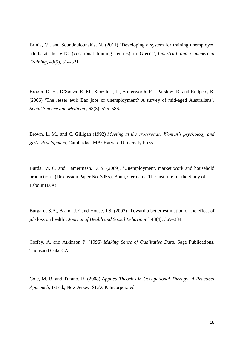Brinia, V., and Soundoulounakis, N. (2011) 'Developing a system for training unemployed adults at the VTC (vocational training centres) in Greece'*, Industrial and Commercial Training,* 43(5), 314-321.

Broom, D. H., D'Souza, R. M., Strazdins, L., Butterworth, P. , Parslow, R. and Rodgers, B. (2006) 'The lesser evil: Bad jobs or unemployment? A survey of mid-aged Australians*', Social Science and Medicine*, 63(3), 575–586.

Brown, L. M., and C. Gilligan (1992) *Meeting at the crossroads: Women's psychology and girls' development*, Cambridge, MA: Harvard University Press.

Burda, M. C. and Hamermesh, D. S. (2009). 'Unemployment, market work and household production', (Discussion Paper No. 3955), Bonn, Germany: The Institute for the Study of Labour (IZA).

Burgard, S.A., Brand, J.E and House, J.S. (2007) 'Toward a better estimation of the effect of job loss on health', *Journal of Health and Social Behaviour'*, 48(4), 369–384.

Coffey, A. and Atkinson P. (1996) *Making Sense of Qualitative Data,* Sage Publications, Thousand Oaks CA.

Cole, M. B. and Tufano, R. (2008) *Applied Theories in Occupational Therapy: A Practical Approach*, 1st ed., New Jersey: SLACK Incorporated.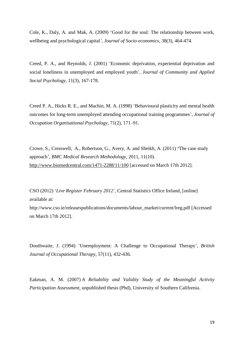Cole, K., Daly, A. and Mak, A. (2009) 'Good for the soul: The relationship between work, wellbeing and psychological capital*'*, *Journal of Socio-economics*, 38(3), 464-474.

Creed, P. A., and Reynolds, J. (2001) 'Economic deprivation, experiential deprivation and social loneliness in unemployed and employed youth', *Journal of Community and Applied Social Psychology*, 11(3), 167-178.

Creed P. A., Hicks R. E., and Machin, M. A. (1998) 'Behavioural plasticity and mental health outcomes for long-term unemployed attending occupational training programmes', *Journal of Occupation Organisational Psychology*, 71(2), 171–91.

Crowe, S., Cresswell, A., Robertson, G., Avery, A. and Sheikh, A. (2011) **'**The case study approach', *BMC Medical Research Methodology*, 2011, 11(10). <http://www.biomedcentral.com/1471-2288/11/100> [accessed on March 17th 2012].

CSO (2012) '*Live Register February 2012'*, Central Statistics Office Ireland, [online] available at: http://www.cso.ie/releasespublications/documents/labour\_market/current/lreg.pdf [Accessed on March 17th 2012].

Douthwaite, J. (1994) 'Unemployment: A Challenge to Occupational Therapy', *British Journal of Occupational Therapy*, 57(11), 432-436.

Eakman, A. M. (2007) *A Reliability and Validity Study of the Meaningful Activity Participation Assessment*, unpublished thesis (Phd), University of Southern California.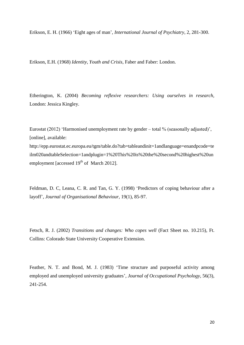Erikson, E. H. (1966) 'Eight ages of man'*, International Journal of Psychiatry*, 2, 281-300.

Erikson, E.H. (1968) *Identity, Youth and Crisis*, Faber and Faber: London.

Etherington, K. (2004) *Becoming reflexive researchers: Using ourselves in research,* London: Jessica Kingley.

Eurostat (2012) 'Harmonised unemployment rate by gender – total % (seasonally adjusted)', [online], available: http://epp.eurostat.ec.europa.eu/tgm/table.do?tab=tableandinit=1andlanguage=enandpcode=te ilm020andtableSelection=1andplugin=1%20This%20is%20the%20second%20highest%20un employment [accessed  $19<sup>th</sup>$  of March 2012].

Feldman, D. C, Leana, C. R. and Tan, G. Y. (1998) 'Predictors of coping behaviour after a layoff', *Journal of Organisational Behaviour,* 19(1), 85-97.

Fetsch, R. J. (2002) *Transitions and changes: Who copes well* (Fact Sheet no. 10.215), Ft. Collins: Colorado State University Cooperative Extension.

Feather, N. T. and Bond, M. J. (1983) 'Time structure and purposeful activity among employed and unemployed university graduates'*, Journal of Occupational Psychology*, 56(3), 241-254.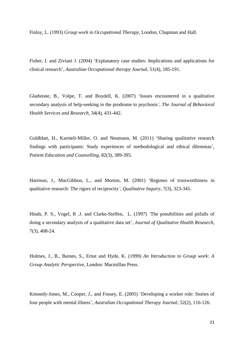Finlay, L. (1993) *Group work in Occupational Therapy*, London, Chapman and Hall.

Fisher, I. and Ziviani J. (2004) 'Explanatory case studies: Implications and applications for clinical research', *Australian Occupational therapy Journal,* 51(4), 185-191.

Gladstone, B., Volpe, T. and Boydell, K. (2007) 'Issues encountered in a qualitative secondary analysis of help-seeking in the prodrome to psychosis*'*, *The Journal of Behavioral Health Services and Research,* 34(4), 431-442.

Goldblatt, H., Karnieli-Miller, O. and Neumann, M. (2011) 'Sharing qualitative research findings with participants: Study experiences of methodological and ethical dilemmas', *Patient Education and Counselling*, 82(3), 389-395.

Harrison, J., MacGibbon, L., and Morton, M. (2001) 'Regimes of trustworthiness in qualitative research: The rigors of reciprocity*', Qualitative Inquiry*, 7(3), 323-345.

Hinds, P. S., Vogel, R .J. and Clarke-Steffen, L. (1997) *'*The possibilities and pitfalls of doing a secondary analysis of a qualitative data set'*, Journal of Qualitative Health Research*, 7(3), 408-24.

Holmes, J., B., Barnes, S., Ernst and Hyde, K. (1999) *An Introduction to Group work: A Group Analytic Perspective*, London: Macmillan Press.

Kennedy-Jones, M., Cooper, J., and Fossey, E. (2005) 'Developing a worker role: Stories of four people with mental illness'*, Australian Occupational Therapy Journal*, 52(2), 116-126.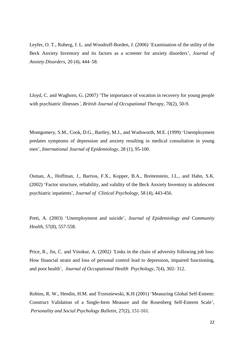Leyfer, O. T., Ruberg, J. L. and Woodruff-Borden, J. (2006) 'Examination of the utility of the Beck Anxiety Inventory and its factors as a screener for anxiety disorders', *Journal of Anxiety Disorders*, 20 (4), 444–58.

Lloyd, C. and Waghorn, G. (2007*)* 'The importance of vocation in recovery for young people with psychiatric illnesses*', British Journal of Occupational Therapy*, 70(2), 50-9.

Montgomery, S.M., Cook, D.G., Bartley, M.J., and Wadsworth, M.E. (1999) 'Unemployment predates symptoms of depression and anxiety resulting in medical consultation in young men', *International Journal of Epidemiology*, 28 (1), 95-100.

Osman, A., Hoffman, J., Barrios, F.X., Kopper, B.A., Breitenstein, J.L., and Hahn, S.K. (2002) 'Factor structure, reliability, and validity of the Beck Anxiety Inventory in adolescent psychiatric inpatients', *Journal of Clinical Psychology*, 58 (4), 443-456.

Preti, A. (2003) 'Unemployment and suicide'*, Journal of Epidemiology and Community Health,* 57(8), 557-558.

Price, R., Jin, C. and Vinokur, A. (2002*) '*Links in the chain of adversity following job loss: How financial strain and loss of personal control lead to depression, impaired functioning, and poor health', *Journal of Occupational Health Psychology*, 7(4), 302- 312.

Robins, R. W., Hendin, H.M. and [Trzesniewski,](https://amsprd0104.outlook.com/owa/redir.aspx?C=Q31f0SbXRUOoON2kbqoZD4TC-Xx26M4Ir-0AitK3HjBPK8-vzWbpmG1NoryN4D8TgjNSkB2TY7Y.&URL=http%3a%2f%2fpsp.sagepub.com%2fsearch%3fauthor1%3dKali%2bH.%2bTrzesniewski%26sortspec%3ddate%26submit%3dSubmit) K.H (2001) 'Measuring Global Self-Esteem: Construct Validation of a Single-Item Measure and the Rosenberg Self-Esteem Scale', *Personality and Social Psychology Bulletin*, 27(2), 151-161.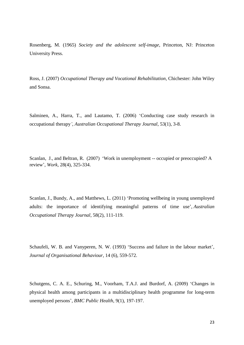Rosenberg, M. (1965) *Society and the adolescent self-image*, Princeton, NJ: Princeton University Press.

Ross, J. (2007) *Occupational Therapy and Vocational Rehabilitation*, Chichester: John Wiley and Sonsa.

Salminen, A., Harra, T., and Lautamo, T. (2006) 'Conducting case study research in occupational therapy*'*, *Australian Occupational Therapy Journal*, 53(1), 3-8.

Scanlan, J., and Beltran, R. (2007) 'Work in unemployment -- occupied or preoccupied? A review', *Work,* 28(4), 325-334.

Scanlan, J., Bundy, A., and Matthews, L. (2011) 'Promoting wellbeing in young unemployed adults: the importance of identifying meaningful patterns of time use', *Australian Occupational Therapy Journal*, 58(2), 111-119.

Schaufeli, W. B. and Vanyperen, N. W. (1993) 'Success and failure in the labour market'*, Journal of Organisational Behaviour*, 14 (6), 559-572.

Schutgens, C. A. E., Schuring, M., Voorham, T.A.J. and Burdorf, A. (2009) 'Changes in physical health among participants in a multidisciplinary health programme for long-term unemployed persons'*, BMC Public Health*, 9(1), 197-197.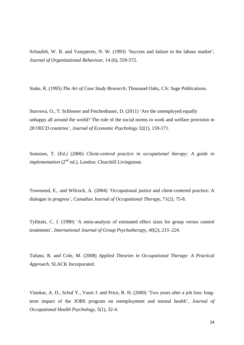Schaufeli, W. B. and Vanyperen, N. W. (1993) 'Success and failure in the labour market', *Journal of Organizational Behaviour*, 14 (6), 559-572.

Stake, R. (1995) *The Art of Case Study Research*, Thousand Oaks, CA: Sage Publications.

Stavrova, O., T. Schlosser and Fetchenhauer, D. (2011) 'Are the unemployed equally unhappy all around the world? The role of the social norms to work and welfare provision in 28 OECD countries', *Journal of Economic Psychology* 32(1), 159-171.

Sumsion, T. (Ed.) (2006) *Client-centred practice in occupational therapy: A guide to implementation* (2<sup>nd</sup> ed.), London: Churchill Livingstone.

Townsend, E., and Wilcock, A. (2004) *'*Occupational justice and client-centered practice: A dialogue in progress'*, Canadian Journal of Occupational Therapy*, 71(2), 75-8.

Tyllitski, C. J. (1990) 'A meta-analysis of estimated effect sizes for group versus control treatments', *International Journal of Group Psychotherapy, 40(2), 215–224.*

Tufano, R. and Cole, M. (2008) *Applied Theories in Occupational Therapy: A Practical Approach,* SLACK Incorporated.

Vinokur, A. D., Schul Y., Vuori J. and Price, R. H. (2000) 'Two years after a job loss: longterm impact of the JOBS program on reemployment and mental health', *Journal of Occupational Health Psychology,* 5(1), 32-4.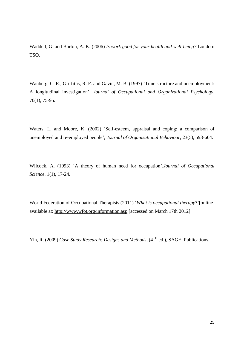Waddell, G. and Burton, A. K. (2006) *Is work good for your health and well-being?* London: TSO.

Wanberg, C. R., Griffiths, R. F. and Gavin, M. B. (1997) 'Time structure and unemployment: A longitudinal investigation'*, Journal of Occupational and Organizational Psychology,* 70(1), 75-95.

Waters, L. and Moore, K. (2002) 'Self-esteem, appraisal and coping: a comparison of unemployed and re-employed people'*, Journal of Organisational Behaviour*, 23(5), 593-604.

Wilcock, A. (1993) 'A theory of human need for occupation',*Journal of Occupational Science*, 1(1), 17-24.

World Federation of Occupational Therapists (2011) '*What is occupational therapy*?'[online] available at: http://www.wfot.org/information.asp [accessed on March 17th 2012]

Yin, R. (2009) *Case Study Research: Designs and Methods*, (4<sup>TH</sup> ed.), SAGE Publications.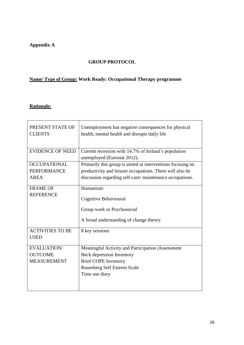# **Appendix A**

# **GROUP PROTOCOL**

# **Name/ Type of Group: Work Ready: Occupational Therapy programme**

# **Rationale:**

| PRESENT STATE OF<br><b>CLIENTS</b> | Unemployment has negative consequences for physical<br>health, mental health and disrupts daily life |
|------------------------------------|------------------------------------------------------------------------------------------------------|
| <b>EVIDENCE OF NEED</b>            | Current recession with 14.7% of Ireland's population<br>unemployed (Eurostat 2012).                  |
| <b>OCCUPATIONAL</b>                | Primarily this group is aimed at interventions focusing on                                           |
| <b>PERFORMANCE</b>                 | productivity and leisure occupations. There will also be                                             |
| <b>AREA</b>                        | discussion regarding self-care/maintenance occupations.                                              |
| <b>FRAME OF</b>                    | Humanistic                                                                                           |
| <b>REFERENCE</b>                   | Cognitive Behavioural                                                                                |
|                                    | Group work or Psychosocial                                                                           |
|                                    | A broad understanding of change theory.                                                              |
| <b>ACTIVITIES TO BE</b>            | 8 key sessions                                                                                       |
| <b>USED</b>                        |                                                                                                      |
| EVALUATION/                        | Meaningful Activity and Participation   Assessment                                                   |
| <b>OUTCOME</b>                     | Beck depression Inventory                                                                            |
| <b>MEASUREMENT</b>                 | <b>Brief COPE Inventory</b>                                                                          |
|                                    | Rosenberg Self Esteem Scale                                                                          |
|                                    | Time use diary                                                                                       |
|                                    |                                                                                                      |
|                                    |                                                                                                      |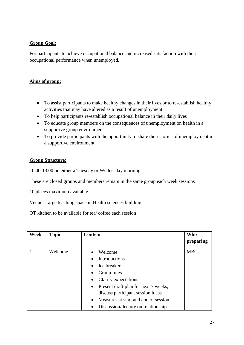# **Group Goal:**

For participants to achieve occupational balance and increased satisfaction with their occupational performance when unemployed.

# **Aims of group:**

- To assist participants to make healthy changes in their lives or to re-establish healthy activities that may have altered as a result of unemployment
- To help participants re-establish occupational balance in their daily lives
- To educate group members on the consequences of unemployment on health in a supportive group environment
- To provide participants with the opportunity to share their stories of unemployment in a supportive environment

# **Group Structure:**

10.00-13.00 on either a Tuesday or Wednesday morning.

These are closed groups and members remain in the same group each week sessions

10 places maximum available

Venue- Large teaching space in Health sciences building.

OT kitchen to be available for tea/ coffee each session

| Week | <b>Topic</b> | <b>Content</b>                                     | <b>Who</b> |
|------|--------------|----------------------------------------------------|------------|
|      |              |                                                    | preparing  |
|      | Welcome      | Welcome                                            | <b>MBG</b> |
|      |              | <b>Introductions</b>                               |            |
|      |              | Ice breaker                                        |            |
|      |              | Group rules                                        |            |
|      |              | Clarify expectations                               |            |
|      |              | Present draft plan for next 7 weeks,<br>$\bullet$  |            |
|      |              | discuss participant session ideas                  |            |
|      |              | Measures at start and end of session.<br>$\bullet$ |            |
|      |              | Discussion/lecture on relationship                 |            |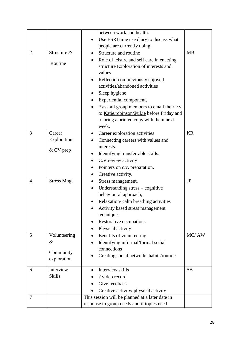|                |                       | between work and health.                                                                                   |           |
|----------------|-----------------------|------------------------------------------------------------------------------------------------------------|-----------|
|                |                       | Use ESRI time use diary to discuss what                                                                    |           |
|                |                       | people are currently doing,                                                                                |           |
| $\overline{2}$ | Structure &           | Structure and routine<br>$\bullet$                                                                         | <b>MB</b> |
|                | Routine               | Role of leisure and self care in enacting<br>$\bullet$<br>structure Exploration of interests and<br>values |           |
|                |                       | Reflection on previously enjoyed<br>٠<br>activities/abandoned activities                                   |           |
|                |                       | Sleep hygiene                                                                                              |           |
|                |                       | Experiential component,                                                                                    |           |
|                |                       | * ask all group members to email their c.v                                                                 |           |
|                |                       | to Katie.robinson@ul.ie before Friday and                                                                  |           |
|                |                       | to bring a printed copy with them next                                                                     |           |
| 3              |                       | week.                                                                                                      | <b>KR</b> |
|                | Career<br>Exploration | Career exploration activities<br>٠                                                                         |           |
|                |                       | Connecting careers with values and                                                                         |           |
|                | & CV prep             | interests.<br>Identifying transferrable skills.                                                            |           |
|                |                       | C.V review activity<br>$\bullet$                                                                           |           |
|                |                       | Pointers on c.v. preparation.                                                                              |           |
|                |                       | Creative activity.                                                                                         |           |
| 4              | <b>Stress Mngt</b>    | Stress management,<br>$\bullet$                                                                            | <b>JP</b> |
|                |                       | Understanding stress – cognitive                                                                           |           |
|                |                       | behavioural approach,                                                                                      |           |
|                |                       | Relaxation/calm breathing activities                                                                       |           |
|                |                       | Activity based stress management                                                                           |           |
|                |                       | techniques                                                                                                 |           |
|                |                       | Restorative occupations                                                                                    |           |
|                |                       | Physical activity<br>$\bullet$                                                                             |           |
| 5              | Volunteering          | Benefits of volunteering<br>$\bullet$                                                                      | MC/AW     |
|                | &                     | Identifying informal/formal social                                                                         |           |
|                |                       | connections                                                                                                |           |
|                | Community             | Creating social networks habits/routine                                                                    |           |
|                | exploration           |                                                                                                            |           |
| 6              | Interview             | Interview skills                                                                                           | <b>SB</b> |
|                | <b>Skills</b>         | ? video record                                                                                             |           |
|                |                       | Give feedback<br>$\bullet$                                                                                 |           |
|                |                       | Creative activity/ physical activity                                                                       |           |
| 7              |                       | This session will be planned at a later date in                                                            |           |
|                |                       | response to group needs and if topics need                                                                 |           |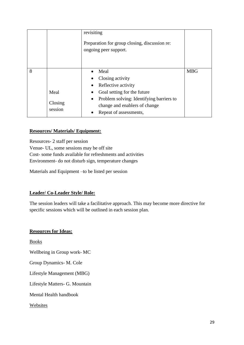|   |                            | revisiting<br>Preparation for group closing, discussion re:<br>ongoing peer support.                                                                                                                                         |            |
|---|----------------------------|------------------------------------------------------------------------------------------------------------------------------------------------------------------------------------------------------------------------------|------------|
| 8 | Meal<br>Closing<br>session | Meal<br>Closing activity<br>$\bullet$<br>Reflective activity<br>$\bullet$<br>Goal setting for the future<br>Problem solving: Identifying barriers to<br>$\bullet$<br>change and enablers of change<br>Repeat of assessments, | <b>MBG</b> |

## **Resources/ Materials/ Equipment:**

Resources- 2 staff per session Venue- UL, some sessions may be off site Cost- some funds available for refreshments and activities Environment- do not disturb sign, temperature changes

Materials and Equipment –to be listed per session

## **Leader/ Co-Leader Style/ Role:**

The session leaders will take a facilitative approach. This may become more directive for specific sessions which will be outlined in each session plan.

## **Resources for Ideas:**

Books

Wellbeing in Group work- MC

Group Dynamics- M. Cole

Lifestyle Management (MBG)

Lifestyle Matters- G. Mountain

Mental Health handbook

## Websites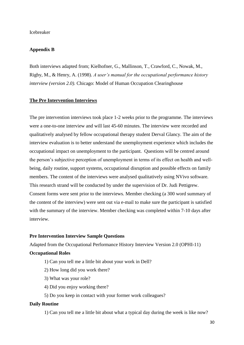## Icebreaker

## **Appendix B**

Both interviews adapted from; Kielhofner, G., Mallinson, T., Crawford, C., Nowak, M., Rigby, M., & Henry, A. (1998). *A user's manual for the occupational performance history interview (version 2.0).* Chicago: Model of Human Occupation Clearinghouse

## **The Pre Intervention Interviews**

The pre intervention interviews took place 1-2 weeks prior to the programme. The interviews were a one-to-one interview and will last 45-60 minutes. The interview were recorded and qualitatively analysed by fellow occupational therapy student Derval Glancy. The aim of the interview evaluation is to better understand the unemployment experience which includes the occupational impact on unemployment to the participant. Questions will be centred around the person's subjective perception of unemployment in terms of its effect on health and wellbeing, daily routine, support systems, occupational disruption and possible effects on family members. The content of the interviews were analysed qualitatively using NVivo software. This research strand will be conducted by under the supervision of Dr. Judi Pettigrew. Consent forms were sent prior to the interviews. Member checking (a 300 word summary of the content of the interview) were sent out via e-mail to make sure the participant is satisfied with the summary of the interview. Member checking was completed within 7-10 days after interview.

#### **Pre Intervention Interview Sample Questions**

Adapted from the Occupational Performance History Interview Version 2.0 (OPHI-11)

## **Occupational Roles**

- 1) Can you tell me a little bit about your work in Dell?
- 2) How long did you work there?
- 3) What was your role?
- 4) Did you enjoy working there?
- 5) Do you keep in contact with your former work colleagues?

## **Daily Routine**

1) Can you tell me a little bit about what a typical day during the week is like now?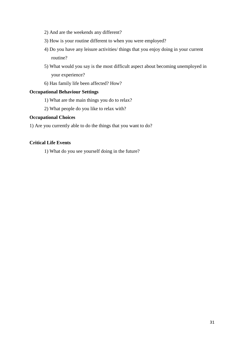- 2) And are the weekends any different?
- 3) How is your routine different to when you were employed?
- 4) Do you have any leisure activities/ things that you enjoy doing in your current routine?
- 5) What would you say is the most difficult aspect about becoming unemployed in your experience?
- 6) Has family life been affected? How?

## **Occupational Behaviour Settings**

- 1) What are the main things you do to relax?
- 2) What people do you like to relax with?

## **Occupational Choices**

1) Are you currently able to do the things that you want to do?

## **Critical Life Events**

1) What do you see yourself doing in the future?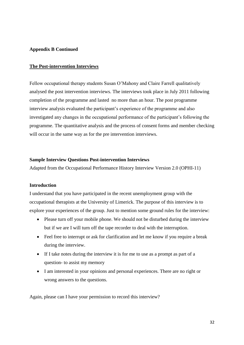## **Appendix B Continued**

## **The Post-intervention Interviews**

Fellow occupational therapy students Susan O'Mahony and Claire Farrell qualitatively analysed the post intervention interviews. The interviews took place in July 2011 following completion of the programme and lasted no more than an hour. The post programme interview analysis evaluated the participant's experience of the programme and also investigated any changes in the occupational performance of the participant's following the programme. The quantitative analysis and the process of consent forms and member checking will occur in the same way as for the pre intervention interviews.

## **Sample Interview Questions Post-intervention Interviews**

Adapted from the Occupational Performance History Interview Version 2.0 (OPHI-11)

#### **Introduction**

I understand that you have participated in the recent unemployment group with the occupational therapists at the University of Limerick. The purpose of this interview is to explore your experiences of the group. Just to mention some ground rules for the interview:

- Please turn off your mobile phone. We should not be disturbed during the interview but if we are I will turn off the tape recorder to deal with the interruption.
- Feel free to interrupt or ask for clarification and let me know if you require a break during the interview.
- If I take notes during the interview it is for me to use as a prompt as part of a question- to assist my memory
- I am interested in your opinions and personal experiences. There are no right or wrong answers to the questions.

Again, please can I have your permission to record this interview?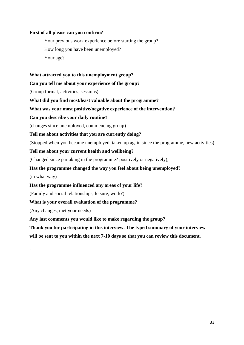## **First of all please can you confirm?**

Your previous work experience before starting the group? How long you have been unemployed? Your age?

## **What attracted you to this unemployment group?**

## **Can you tell me about your experience of the group?**

(Group format, activities, sessions)

**What did you find most/least valuable about the programme?** 

**What was your most positive/negative experience of the intervention?** 

## **Can you describe your daily routine?**

(changes since unemployed, commencing group)

## **Tell me about activities that you are currently doing?**

(Stopped when you became unemployed, taken up again since the programme, new activities)

## **Tell me about your current health and wellbeing?**

(Changed since partaking in the programme? positively or negatively),

## **Has the programme changed the way you feel about being unemployed?**

(in what way)

.

## **Has the programme influenced any areas of your life?**

(Family and social relationships, leisure, work?)

## **What is your overall evaluation of the programme?**

(Any changes, met your needs)

**Any last comments you would like to make regarding the group?** 

**Thank you for participating in this interview. The typed summary of your interview** 

**will be sent to you within the next 7-10 days so that you can review this document.**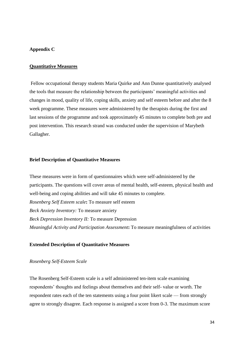## **Appendix C**

## **Quantitative Measures**

Fellow occupational therapy students Maria Quirke and Ann Dunne quantitatively analysed the tools that measure the relationship between the participants' meaningful activities and changes in mood, quality of life, coping skills, anxiety and self esteem before and after the 8 week programme. These measures were administered by the therapists during the first and last sessions of the programme and took approximately 45 minutes to complete both pre and post intervention. This research strand was conducted under the supervision of Marybeth Gallagher.

#### **Brief Description of Quantitative Measures**

These measures were in form of questionnaires which were self-administered by the participants. The questions will cover areas of mental health, self-esteem, physical health and well-being and coping abilities and will take 45 minutes to complete. *Rosenberg Self Esteem scale***:** To measure self esteem *Beck Anxiety Inventory:* To measure anxiety *Beck Depression Inventory II:* To measure Depression *Meaningful Activity and Participation Assessment***:** To measure meaningfulness of activities

## **Extended Description of Quantitative Measures**

## *Rosenberg Self-Esteem Scale*

The Rosenberg Self-Esteem scale is a self administered ten-item scale examining respondents' thoughts and feelings about themselves and their self- value or worth. The respondent rates each of the ten statements using a four point likert scale — from strongly agree to strongly disagree. Each response is assigned a score from 0-3. The maximum score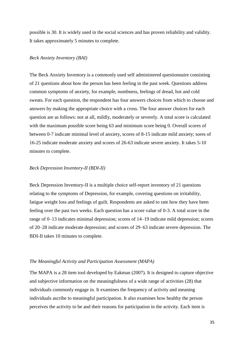possible is 30. It is widely used in the social sciences and has proven reliability and validity. It takes approximately 5 minutes to complete.

#### *Beck Anxiety Inventory (BAI)*

The Beck Anxiety Inventory is a commonly used self administered questionnaire consisting of 21 questions about how the person has been feeling in the past week. Questions address common symptoms of anxiety, for example, numbness, feelings of dread, hot and cold sweats. For each question, the respondent has four answers choices from which to choose and answers by making the appropriate choice with a cross. The four answer choices for each question are as follows: not at all, mildly, moderately or severely. A total score is calculated with the maximum possible score being 63 and minimum score being 0. Overall scores of between 0-7 indicate minimal level of anxiety, scores of 8-15 indicate mild anxiety; sores of 16-25 indicate moderate anxiety and scores of 26-63 indicate severe anxiety. It takes 5-10 minutes to complete.

### *Beck Depression Inventory-II (BDI-II)*

Beck Depression Inventory-II is a multiple choice self-report inventory of 21 questions relating to the symptoms of Depression, for example, covering questions on irritability, fatigue weight loss and feelings of guilt. Respondents are asked to rate how they have been feeling over the past two weeks. Each question has a score value of 0-3. A total score in the range of 0–13 indicates minimal depression; scores of 14–19 indicate mild depression; scores of 20–28 indicate moderate depression; and scores of 29–63 indicate severe depression. The BDI-II takes 10 minutes to complete.

#### *The Meaningful Activity and Participation Assessment (MAPA)*

The MAPA is a 28 item tool developed by Eakman (2007). It is designed to capture objective and subjective information on the meaningfulness of a wide range of activities (28) that individuals commonly engage in. It examines the frequency of activity and meaning individuals ascribe to meaningful participation. It also examines how healthy the person perceives the activity to be and their reasons for participation in the activity. Each item is